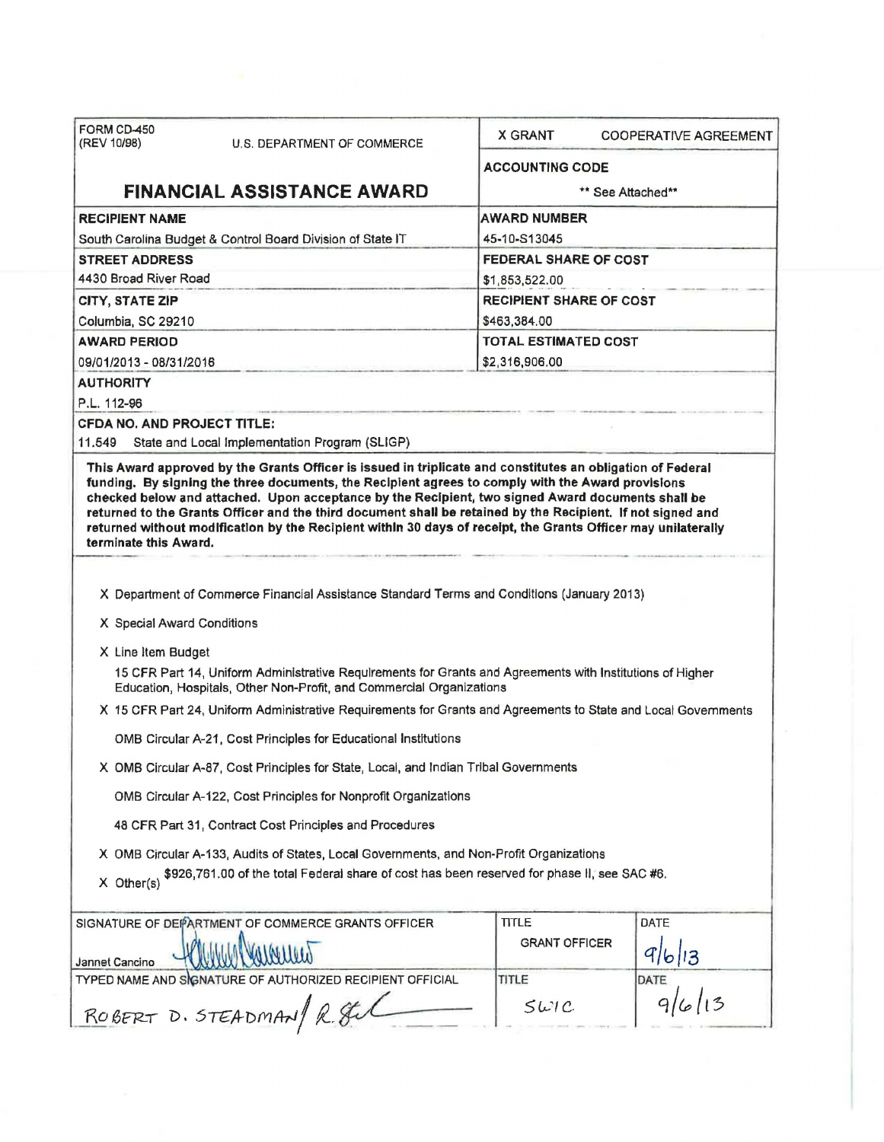| FORM CD-450<br>(REV 10/98)                                 | U.S. DEPARTMENT OF COMMERCE                                                                                                                                                                                                                                                                                                                                                                                                                                                                                                                                                                                                     | <b>X GRANT</b>         | COOPERATIVE AGREEMENT          |  |  |
|------------------------------------------------------------|---------------------------------------------------------------------------------------------------------------------------------------------------------------------------------------------------------------------------------------------------------------------------------------------------------------------------------------------------------------------------------------------------------------------------------------------------------------------------------------------------------------------------------------------------------------------------------------------------------------------------------|------------------------|--------------------------------|--|--|
|                                                            |                                                                                                                                                                                                                                                                                                                                                                                                                                                                                                                                                                                                                                 | <b>ACCOUNTING CODE</b> |                                |  |  |
|                                                            | <b>FINANCIAL ASSISTANCE AWARD</b>                                                                                                                                                                                                                                                                                                                                                                                                                                                                                                                                                                                               |                        | ** See Attached**              |  |  |
| <b>RECIPIENT NAME</b>                                      |                                                                                                                                                                                                                                                                                                                                                                                                                                                                                                                                                                                                                                 | <b>AWARD NUMBER</b>    |                                |  |  |
| South Carolina Budget & Control Board Division of State IT |                                                                                                                                                                                                                                                                                                                                                                                                                                                                                                                                                                                                                                 | 45-10-S13045           |                                |  |  |
| <b>STREET ADDRESS</b>                                      |                                                                                                                                                                                                                                                                                                                                                                                                                                                                                                                                                                                                                                 |                        | <b>FEDERAL SHARE OF COST</b>   |  |  |
| 4430 Broad River Road                                      |                                                                                                                                                                                                                                                                                                                                                                                                                                                                                                                                                                                                                                 | \$1,853,522.00         |                                |  |  |
| CITY, STATE ZIP                                            |                                                                                                                                                                                                                                                                                                                                                                                                                                                                                                                                                                                                                                 |                        | <b>RECIPIENT SHARE OF COST</b> |  |  |
| Columbia, SC 29210                                         |                                                                                                                                                                                                                                                                                                                                                                                                                                                                                                                                                                                                                                 | \$463,384.00           |                                |  |  |
| <b>AWARD PERIOD</b>                                        |                                                                                                                                                                                                                                                                                                                                                                                                                                                                                                                                                                                                                                 |                        | <b>TOTAL ESTIMATED COST</b>    |  |  |
| 09/01/2013 - 08/31/2016                                    |                                                                                                                                                                                                                                                                                                                                                                                                                                                                                                                                                                                                                                 | \$2,316,906.00         |                                |  |  |
| <b>AUTHORITY</b>                                           |                                                                                                                                                                                                                                                                                                                                                                                                                                                                                                                                                                                                                                 |                        |                                |  |  |
| P.L. 112-96                                                |                                                                                                                                                                                                                                                                                                                                                                                                                                                                                                                                                                                                                                 |                        |                                |  |  |
| <b>CFDA NO. AND PROJECT TITLE:</b>                         |                                                                                                                                                                                                                                                                                                                                                                                                                                                                                                                                                                                                                                 |                        |                                |  |  |
| 11.549                                                     | State and Local Implementation Program (SLIGP)                                                                                                                                                                                                                                                                                                                                                                                                                                                                                                                                                                                  |                        |                                |  |  |
| terminate this Award.                                      | returned without modification by the Recipient within 30 days of receipt, the Grants Officer may unilaterally                                                                                                                                                                                                                                                                                                                                                                                                                                                                                                                   |                        |                                |  |  |
| X Special Award Conditions<br>X Line Item Budget           | X Department of Commerce Financial Assistance Standard Terms and Conditions (January 2013)<br>15 CFR Part 14, Uniform Administrative Requirements for Grants and Agreements with Institutions of Higher<br>Education, Hospitals, Other Non-Profit, and Commercial Organizations<br>X 15 CFR Part 24, Uniform Administrative Requirements for Grants and Agreements to State and Local Governments<br>OMB Circular A-21, Cost Principles for Educational Institutions<br>X OMB Circular A-87, Cost Principles for State, Local, and Indian Tribal Governments<br>OMB Circular A-122, Cost Principles for Nonprofit Organizations |                        |                                |  |  |
|                                                            | 48 CFR Part 31, Contract Cost Principles and Procedures                                                                                                                                                                                                                                                                                                                                                                                                                                                                                                                                                                         |                        |                                |  |  |
| X Other(s)                                                 | X OMB Circular A-133, Audits of States, Local Governments, and Non-Profit Organizations<br>\$926,761.00 of the total Federal share of cost has been reserved for phase II, see SAC #6.                                                                                                                                                                                                                                                                                                                                                                                                                                          |                        |                                |  |  |
|                                                            | SIGNATURE OF DEPARTMENT OF COMMERCE GRANTS OFFICER                                                                                                                                                                                                                                                                                                                                                                                                                                                                                                                                                                              | <b>TITLE</b>           | <b>DATE</b>                    |  |  |
| Jannet Cancino                                             |                                                                                                                                                                                                                                                                                                                                                                                                                                                                                                                                                                                                                                 | <b>GRANT OFFICER</b>   | 9/6/3                          |  |  |
|                                                            | TYPED NAME AND SIGNATURE OF AUTHORIZED RECIPIENT OFFICIAL                                                                                                                                                                                                                                                                                                                                                                                                                                                                                                                                                                       | TITLE                  | DATE                           |  |  |
|                                                            | ROBERT D. STEADMAN/ R. SUL                                                                                                                                                                                                                                                                                                                                                                                                                                                                                                                                                                                                      | 5WIC                   |                                |  |  |